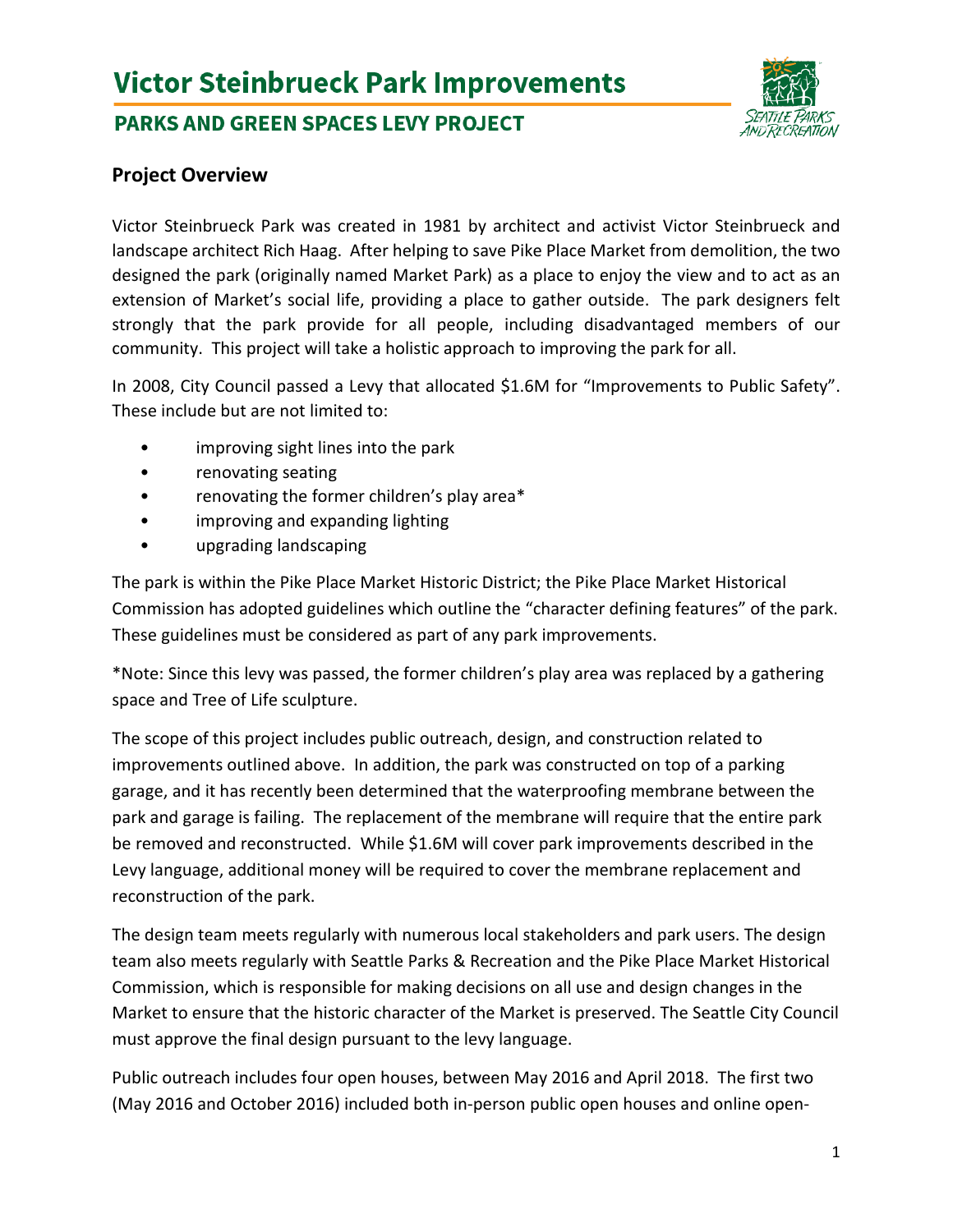# **Victor Steinbrueck Park Improvements**

## **PARKS AND GREEN SPACES LEVY PROJECT**



### **Project Overview**

Victor Steinbrueck Park was created in 1981 by architect and activist Victor Steinbrueck and landscape architect Rich Haag. After helping to save Pike Place Market from demolition, the two designed the park (originally named Market Park) as a place to enjoy the view and to act as an extension of Market's social life, providing a place to gather outside. The park designers felt strongly that the park provide for all people, including disadvantaged members of our community. This project will take a holistic approach to improving the park for all.

In 2008, City Council passed a Levy that allocated \$1.6M for "Improvements to Public Safety". These include but are not limited to:

- improving sight lines into the park
- renovating seating
- renovating the former children's play area\*
- improving and expanding lighting
- upgrading landscaping

The park is within the Pike Place Market Historic District; the Pike Place Market Historical Commission has adopted guidelines which outline the "character defining features" of the park. These guidelines must be considered as part of any park improvements.

\*Note: Since this levy was passed, the former children's play area was replaced by a gathering space and Tree of Life sculpture.

The scope of this project includes public outreach, design, and construction related to improvements outlined above. In addition, the park was constructed on top of a parking garage, and it has recently been determined that the waterproofing membrane between the park and garage is failing. The replacement of the membrane will require that the entire park be removed and reconstructed. While \$1.6M will cover park improvements described in the Levy language, additional money will be required to cover the membrane replacement and reconstruction of the park.

The design team meets regularly with numerous local stakeholders and park users. The design team also meets regularly with Seattle Parks & Recreation and the Pike Place Market Historical Commission, which is responsible for making decisions on all use and design changes in the Market to ensure that the historic character of the Market is preserved. The Seattle City Council must approve the final design pursuant to the levy language.

Public outreach includes four open houses, between May 2016 and April 2018. The first two (May 2016 and October 2016) included both in-person public open houses and online open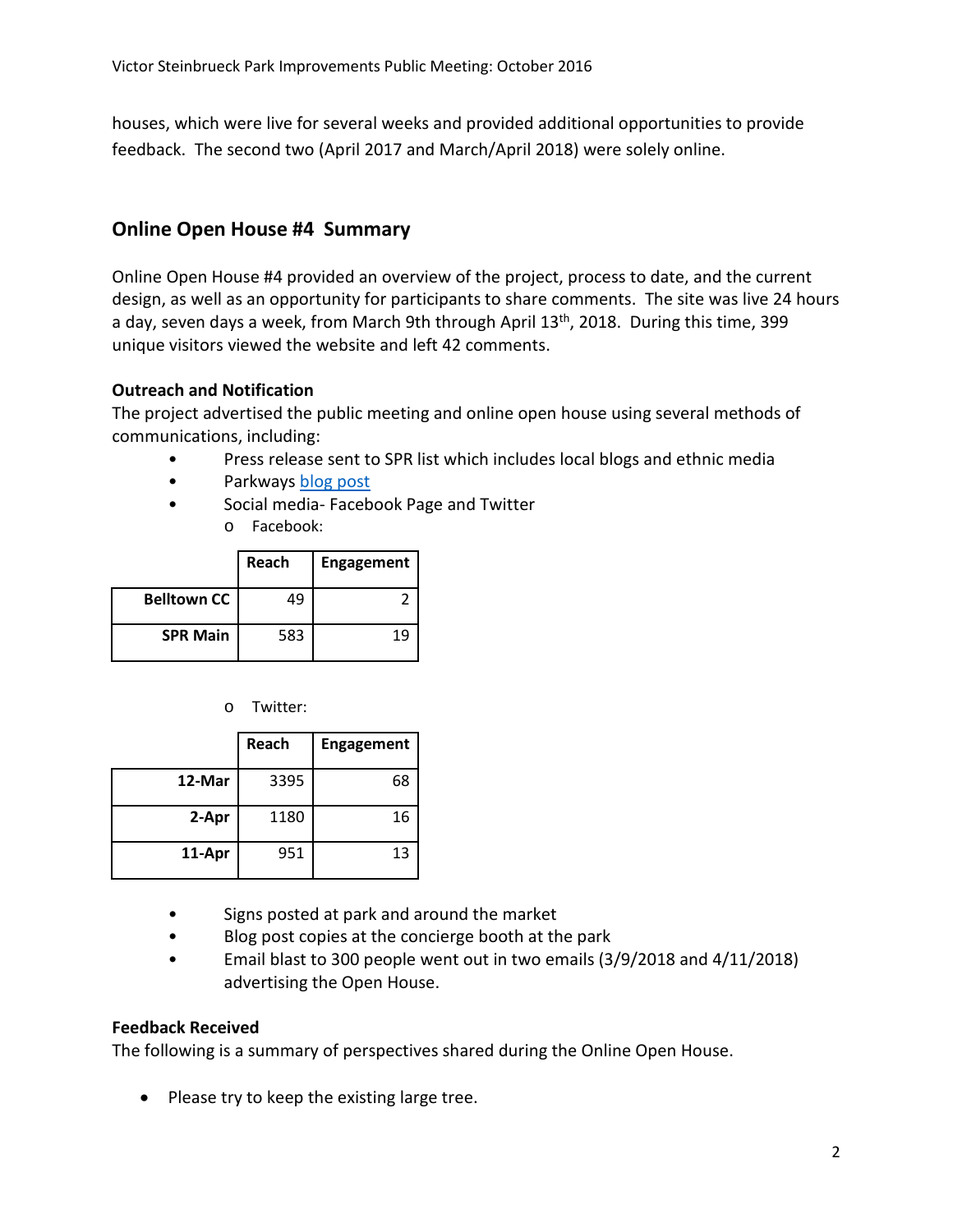houses, which were live for several weeks and provided additional opportunities to provide feedback. The second two (April 2017 and March/April 2018) were solely online.

## **Online Open House #4 Summary**

Online Open House #4 provided an overview of the project, process to date, and the current design, as well as an opportunity for participants to share comments. The site was live 24 hours a day, seven days a week, from March 9th through April  $13<sup>th</sup>$ , 2018. During this time, 399 unique visitors viewed the website and left 42 comments.

#### **Outreach and Notification**

The project advertised the public meeting and online open house using several methods of communications, including:

- Press release sent to SPR list which includes local blogs and ethnic media
- Parkways blog post
- Social media- Facebook Page and Twitter
	- o Facebook:

|                    | Reach | <b>Engagement</b> |
|--------------------|-------|-------------------|
| <b>Belltown CC</b> | 49    |                   |
| <b>SPR Main</b>    | 583   | 1 Q               |

o Twitter:

|        | Reach | <b>Engagement</b> |
|--------|-------|-------------------|
| 12-Mar | 3395  | 68                |
| 2-Apr  | 1180  | 16                |
| 11-Apr | 951   | 13                |

- Signs posted at park and around the market
- Blog post copies at the concierge booth at the park
- Email blast to 300 people went out in two emails (3/9/2018 and 4/11/2018) advertising the Open House.

#### **Feedback Received**

The following is a summary of perspectives shared during the Online Open House.

• Please try to keep the existing large tree.